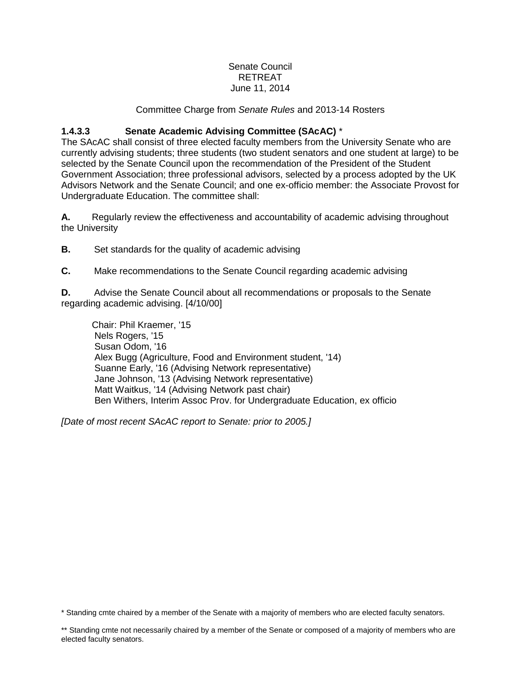#### Senate Council RETREAT June 11, 2014

#### Committee Charge from *Senate Rules* and 2013-14 Rosters

### **1.4.3.3 Senate Academic Advising Committee (SAcAC)** \*

The SAcAC shall consist of three elected faculty members from the University Senate who are currently advising students; three students (two student senators and one student at large) to be selected by the Senate Council upon the recommendation of the President of the Student Government Association; three professional advisors, selected by a process adopted by the UK Advisors Network and the Senate Council; and one ex-officio member: the Associate Provost for Undergraduate Education. The committee shall:

**A.** Regularly review the effectiveness and accountability of academic advising throughout the University

**B.** Set standards for the quality of academic advising

**C.** Make recommendations to the Senate Council regarding academic advising

**D.** Advise the Senate Council about all recommendations or proposals to the Senate regarding academic advising. [4/10/00]

Chair: Phil Kraemer, '15 Nels Rogers, '15 Susan Odom, '16 Alex Bugg (Agriculture, Food and Environment student, '14) Suanne Early, '16 (Advising Network representative) Jane Johnson, '13 (Advising Network representative) Matt Waitkus, '14 (Advising Network past chair) Ben Withers, Interim Assoc Prov. for Undergraduate Education, ex officio

*[Date of most recent SAcAC report to Senate: prior to 2005.]* 

<sup>\*</sup> Standing cmte chaired by a member of the Senate with a majority of members who are elected faculty senators.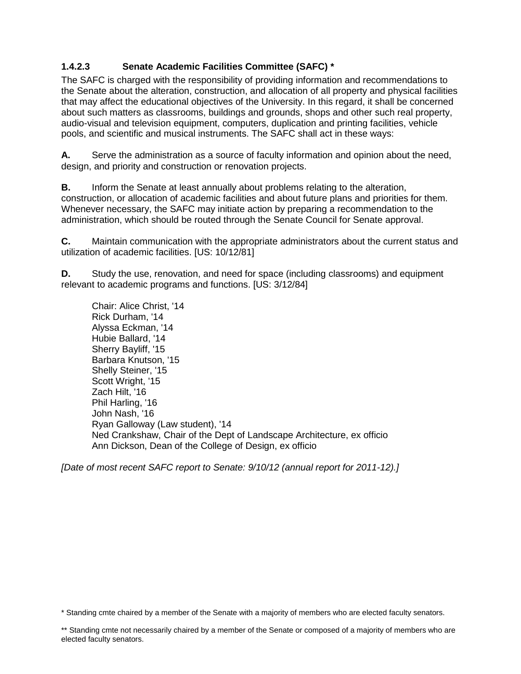# **1.4.2.3 Senate Academic Facilities Committee (SAFC) \***

The SAFC is charged with the responsibility of providing information and recommendations to the Senate about the alteration, construction, and allocation of all property and physical facilities that may affect the educational objectives of the University. In this regard, it shall be concerned about such matters as classrooms, buildings and grounds, shops and other such real property, audio-visual and television equipment, computers, duplication and printing facilities, vehicle pools, and scientific and musical instruments. The SAFC shall act in these ways:

**A.** Serve the administration as a source of faculty information and opinion about the need, design, and priority and construction or renovation projects.

**B.** Inform the Senate at least annually about problems relating to the alteration, construction, or allocation of academic facilities and about future plans and priorities for them. Whenever necessary, the SAFC may initiate action by preparing a recommendation to the administration, which should be routed through the Senate Council for Senate approval.

**C.** Maintain communication with the appropriate administrators about the current status and utilization of academic facilities. [US: 10/12/81]

**D.** Study the use, renovation, and need for space (including classrooms) and equipment relevant to academic programs and functions. [US: 3/12/84]

Chair: Alice Christ, '14 Rick Durham, '14 Alyssa Eckman, '14 Hubie Ballard, '14 Sherry Bayliff, '15 Barbara Knutson, '15 Shelly Steiner, '15 Scott Wright, '15 Zach Hilt, '16 Phil Harling, '16 John Nash, '16 Ryan Galloway (Law student), '14 Ned Crankshaw, Chair of the Dept of Landscape Architecture, ex officio Ann Dickson, Dean of the College of Design, ex officio

*[Date of most recent SAFC report to Senate: 9/10/12 (annual report for 2011-12).]* 

<sup>\*</sup> Standing cmte chaired by a member of the Senate with a majority of members who are elected faculty senators.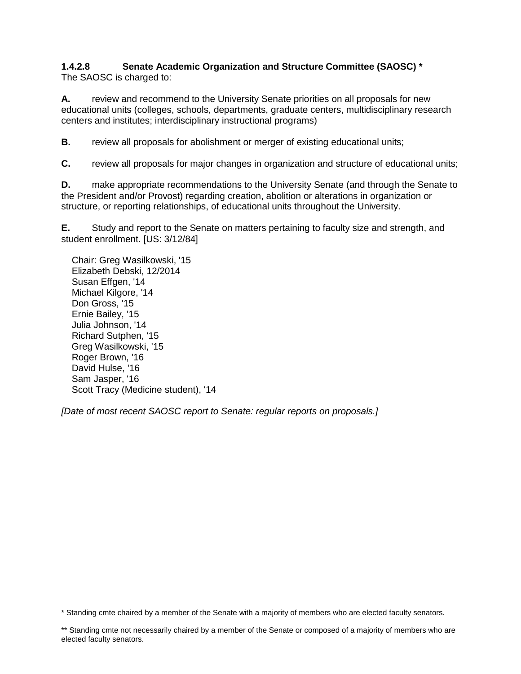### **1.4.2.8 Senate Academic Organization and Structure Committee (SAOSC) \*** The SAOSC is charged to:

**A.** review and recommend to the University Senate priorities on all proposals for new educational units (colleges, schools, departments, graduate centers, multidisciplinary research centers and institutes; interdisciplinary instructional programs)

**B.** review all proposals for abolishment or merger of existing educational units:

**C.** review all proposals for major changes in organization and structure of educational units;

**D.** make appropriate recommendations to the University Senate (and through the Senate to the President and/or Provost) regarding creation, abolition or alterations in organization or structure, or reporting relationships, of educational units throughout the University.

**E.** Study and report to the Senate on matters pertaining to faculty size and strength, and student enrollment. [US: 3/12/84]

 Chair: Greg Wasilkowski, '15 Elizabeth Debski, 12/2014 Susan Effgen, '14 Michael Kilgore, '14 Don Gross, '15 Ernie Bailey, '15 Julia Johnson, '14 Richard Sutphen, '15 Greg Wasilkowski, '15 Roger Brown, '16 David Hulse, '16 Sam Jasper, '16 Scott Tracy (Medicine student), '14

*[Date of most recent SAOSC report to Senate: regular reports on proposals.]*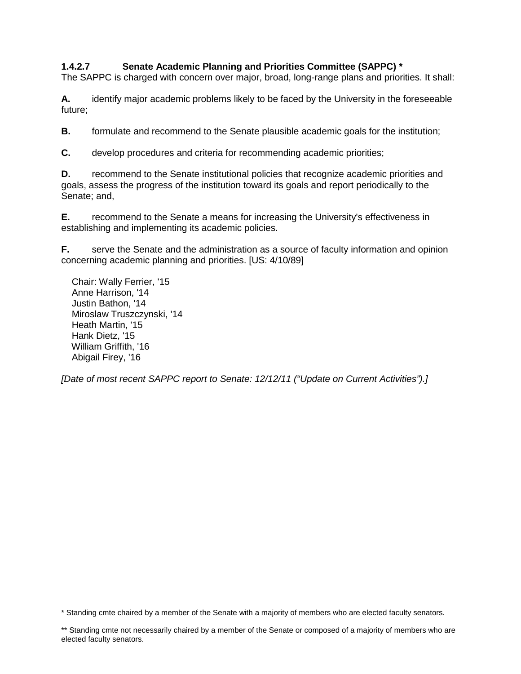# **1.4.2.7 Senate Academic Planning and Priorities Committee (SAPPC) \***

The SAPPC is charged with concern over major, broad, long-range plans and priorities. It shall:

**A.** identify major academic problems likely to be faced by the University in the foreseeable future;

**B.** formulate and recommend to the Senate plausible academic goals for the institution;

**C.** develop procedures and criteria for recommending academic priorities;

**D.** recommend to the Senate institutional policies that recognize academic priorities and goals, assess the progress of the institution toward its goals and report periodically to the Senate; and,

**E.** recommend to the Senate a means for increasing the University's effectiveness in establishing and implementing its academic policies.

**F.** serve the Senate and the administration as a source of faculty information and opinion concerning academic planning and priorities. [US: 4/10/89]

 Chair: Wally Ferrier, '15 Anne Harrison, '14 Justin Bathon, '14 Miroslaw Truszczynski, '14 Heath Martin, '15 Hank Dietz, '15 William Griffith, '16 Abigail Firey, '16

*[Date of most recent SAPPC report to Senate: 12/12/11 ("Update on Current Activities").]*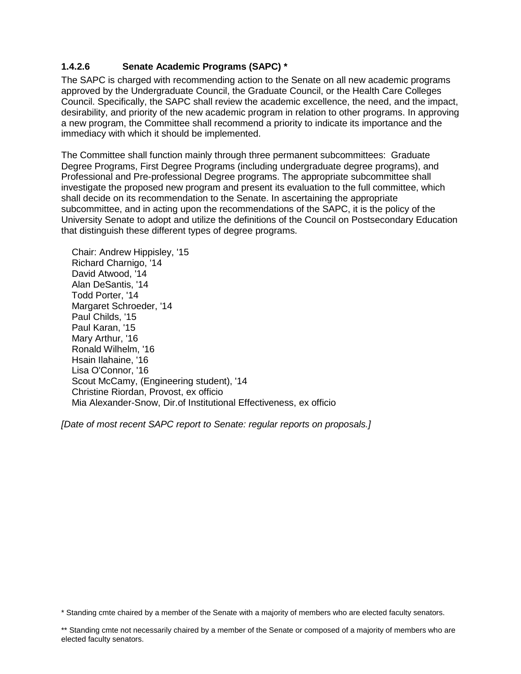## **1.4.2.6 Senate Academic Programs (SAPC) \***

The SAPC is charged with recommending action to the Senate on all new academic programs approved by the Undergraduate Council, the Graduate Council, or the Health Care Colleges Council. Specifically, the SAPC shall review the academic excellence, the need, and the impact, desirability, and priority of the new academic program in relation to other programs. In approving a new program, the Committee shall recommend a priority to indicate its importance and the immediacy with which it should be implemented.

The Committee shall function mainly through three permanent subcommittees: Graduate Degree Programs, First Degree Programs (including undergraduate degree programs), and Professional and Pre-professional Degree programs. The appropriate subcommittee shall investigate the proposed new program and present its evaluation to the full committee, which shall decide on its recommendation to the Senate. In ascertaining the appropriate subcommittee, and in acting upon the recommendations of the SAPC, it is the policy of the University Senate to adopt and utilize the definitions of the Council on Postsecondary Education that distinguish these different types of degree programs.

 Chair: Andrew Hippisley, '15 Richard Charnigo, '14 David Atwood, '14 Alan DeSantis, '14 Todd Porter, '14 Margaret Schroeder, '14 Paul Childs, '15 Paul Karan, '15 Mary Arthur, '16 Ronald Wilhelm, '16 Hsain Ilahaine, '16 Lisa O'Connor, '16 Scout McCamy, (Engineering student), '14 Christine Riordan, Provost, ex officio Mia Alexander-Snow, Dir.of Institutional Effectiveness, ex officio

*[Date of most recent SAPC report to Senate: regular reports on proposals.]*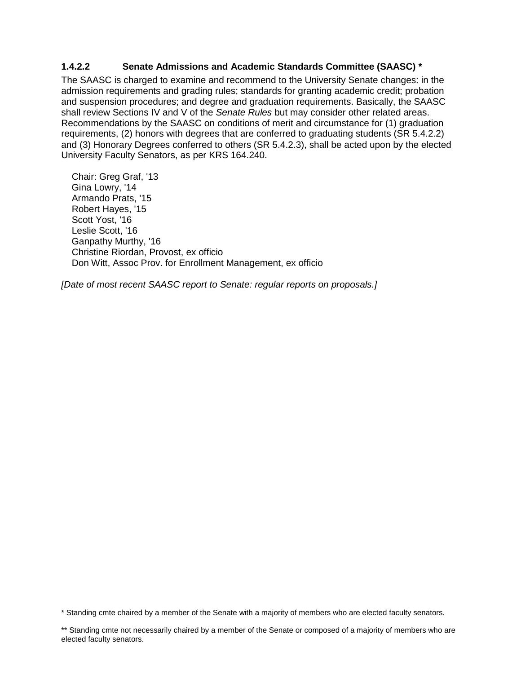### **1.4.2.2 Senate Admissions and Academic Standards Committee (SAASC) \***

The SAASC is charged to examine and recommend to the University Senate changes: in the admission requirements and grading rules; standards for granting academic credit; probation and suspension procedures; and degree and graduation requirements. Basically, the SAASC shall review Sections IV and V of the *Senate Rules* but may consider other related areas. Recommendations by the SAASC on conditions of merit and circumstance for (1) graduation requirements, (2) honors with degrees that are conferred to graduating students (SR 5.4.2.2) and (3) Honorary Degrees conferred to others (SR 5.4.2.3), shall be acted upon by the elected University Faculty Senators, as per KRS 164.240.

 Chair: Greg Graf, '13 Gina Lowry, '14 Armando Prats, '15 Robert Hayes, '15 Scott Yost, '16 Leslie Scott, '16 Ganpathy Murthy, '16 Christine Riordan, Provost, ex officio Don Witt, Assoc Prov. for Enrollment Management, ex officio

*[Date of most recent SAASC report to Senate: regular reports on proposals.]*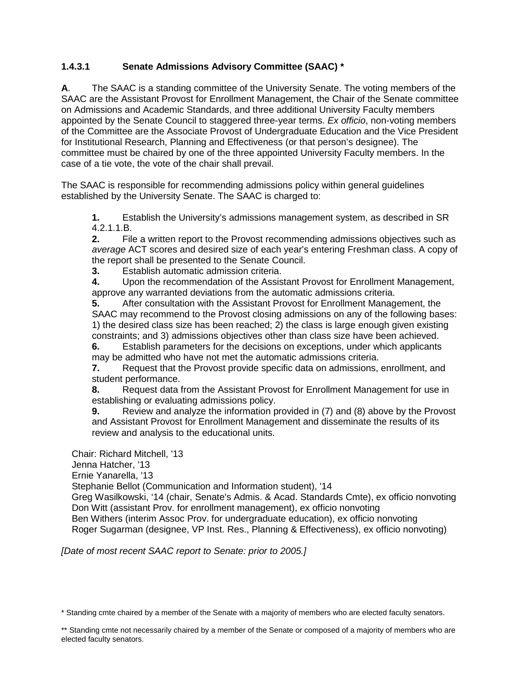# **1.4.3.1 Senate Admissions Advisory Committee (SAAC) \***

**A**. The SAAC is a standing committee of the University Senate. The voting members of the SAAC are the Assistant Provost for Enrollment Management, the Chair of the Senate committee on Admissions and Academic Standards, and three additional University Faculty members appointed by the Senate Council to staggered three-year terms. *Ex officio*, non-voting members of the Committee are the Associate Provost of Undergraduate Education and the Vice President for Institutional Research, Planning and Effectiveness (or that person's designee). The committee must be chaired by one of the three appointed University Faculty members. In the case of a tie vote, the vote of the chair shall prevail.

The SAAC is responsible for recommending admissions policy within general guidelines established by the University Senate. The SAAC is charged to:

**1.** Establish the University's admissions management system, as described in SR 4.2.1.1.B.

**2.** File a written report to the Provost recommending admissions objectives such as *average* ACT scores and desired size of each year's entering Freshman class. A copy of the report shall be presented to the Senate Council.

**3.** Establish automatic admission criteria.

**4.** Upon the recommendation of the Assistant Provost for Enrollment Management, approve any warranted deviations from the automatic admissions criteria.

**5.** After consultation with the Assistant Provost for Enrollment Management, the SAAC may recommend to the Provost closing admissions on any of the following bases: 1) the desired class size has been reached; 2) the class is large enough given existing constraints; and 3) admissions objectives other than class size have been achieved.

**6.** Establish parameters for the decisions on exceptions, under which applicants may be admitted who have not met the automatic admissions criteria.

**7.** Request that the Provost provide specific data on admissions, enrollment, and student performance.

**8.** Request data from the Assistant Provost for Enrollment Management for use in establishing or evaluating admissions policy.

**9.** Review and analyze the information provided in (7) and (8) above by the Provost and Assistant Provost for Enrollment Management and disseminate the results of its review and analysis to the educational units.

Chair: Richard Mitchell, '13

Jenna Hatcher, '13

Ernie Yanarella, '13

Stephanie Bellot (Communication and Information student), '14

 Greg Wasilkowski, '14 (chair, Senate's Admis. & Acad. Standards Cmte), ex officio nonvoting Don Witt (assistant Prov. for enrollment management), ex officio nonvoting

 Ben Withers (interim Assoc Prov. for undergraduate education), ex officio nonvoting Roger Sugarman (designee, VP Inst. Res., Planning & Effectiveness), ex officio nonvoting)

*[Date of most recent SAAC report to Senate: prior to 2005.]* 

<sup>\*</sup> Standing cmte chaired by a member of the Senate with a majority of members who are elected faculty senators.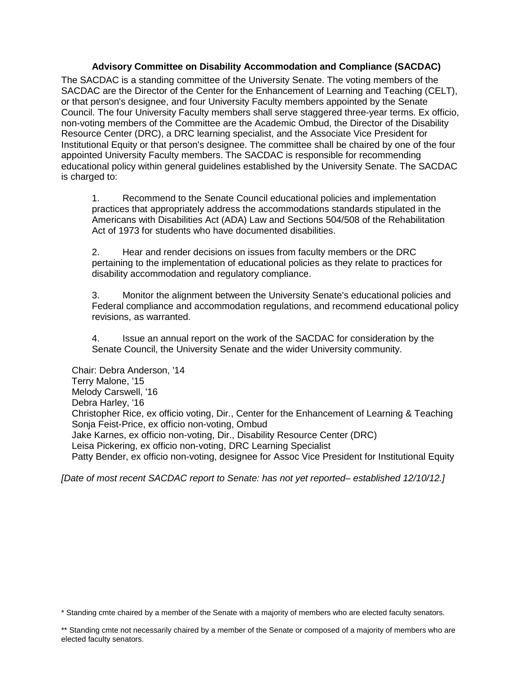### **Advisory Committee on Disability Accommodation and Compliance (SACDAC)**

The SACDAC is a standing committee of the University Senate. The voting members of the SACDAC are the Director of the Center for the Enhancement of Learning and Teaching (CELT), or that person's designee, and four University Faculty members appointed by the Senate Council. The four University Faculty members shall serve staggered three-year terms. Ex officio, non-voting members of the Committee are the Academic Ombud, the Director of the Disability Resource Center (DRC), a DRC learning specialist, and the Associate Vice President for Institutional Equity or that person's designee. The committee shall be chaired by one of the four appointed University Faculty members. The SACDAC is responsible for recommending educational policy within general guidelines established by the University Senate. The SACDAC is charged to:

1. Recommend to the Senate Council educational policies and implementation practices that appropriately address the accommodations standards stipulated in the Americans with Disabilities Act (ADA) Law and Sections 504/508 of the Rehabilitation Act of 1973 for students who have documented disabilities.

2. Hear and render decisions on issues from faculty members or the DRC pertaining to the implementation of educational policies as they relate to practices for disability accommodation and regulatory compliance.

3. Monitor the alignment between the University Senate's educational policies and Federal compliance and accommodation regulations, and recommend educational policy revisions, as warranted.

4. Issue an annual report on the work of the SACDAC for consideration by the Senate Council, the University Senate and the wider University community.

 Chair: Debra Anderson, '14 Terry Malone, '15 Melody Carswell, '16 Debra Harley, '16 Christopher Rice, ex officio voting, Dir., Center for the Enhancement of Learning & Teaching Sonja Feist-Price, ex officio non-voting, Ombud Jake Karnes, ex officio non-voting, Dir., Disability Resource Center (DRC) Leisa Pickering, ex officio non-voting, DRC Learning Specialist Patty Bender, ex officio non-voting, designee for Assoc Vice President for Institutional Equity

*[Date of most recent SACDAC report to Senate: has not yet reported– established 12/10/12.]* 

<sup>\*</sup> Standing cmte chaired by a member of the Senate with a majority of members who are elected faculty senators.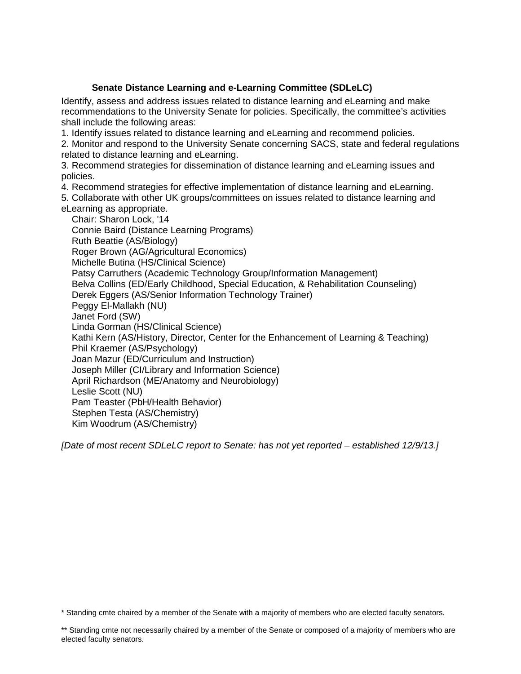## **Senate Distance Learning and e-Learning Committee (SDLeLC)**

Identify, assess and address issues related to distance learning and eLearning and make recommendations to the University Senate for policies. Specifically, the committee's activities shall include the following areas:

1. Identify issues related to distance learning and eLearning and recommend policies.

2. Monitor and respond to the University Senate concerning SACS, state and federal regulations related to distance learning and eLearning.

3. Recommend strategies for dissemination of distance learning and eLearning issues and policies.

4. Recommend strategies for effective implementation of distance learning and eLearning.

- 5. Collaborate with other UK groups/committees on issues related to distance learning and
- eLearning as appropriate.

 Chair: Sharon Lock, '14 Connie Baird (Distance Learning Programs) Ruth Beattie (AS/Biology) Roger Brown (AG/Agricultural Economics) Michelle Butina (HS/Clinical Science) Patsy Carruthers (Academic Technology Group/Information Management) Belva Collins (ED/Early Childhood, Special Education, & Rehabilitation Counseling) Derek Eggers (AS/Senior Information Technology Trainer) Peggy El-Mallakh (NU) Janet Ford (SW) Linda Gorman (HS/Clinical Science) Kathi Kern (AS/History, Director, Center for the Enhancement of Learning & Teaching) Phil Kraemer (AS/Psychology) Joan Mazur (ED/Curriculum and Instruction) Joseph Miller (CI/Library and Information Science) April Richardson (ME/Anatomy and Neurobiology) Leslie Scott (NU) Pam Teaster (PbH/Health Behavior) Stephen Testa (AS/Chemistry) Kim Woodrum (AS/Chemistry)

*[Date of most recent SDLeLC report to Senate: has not yet reported – established 12/9/13.]*

<sup>\*</sup> Standing cmte chaired by a member of the Senate with a majority of members who are elected faculty senators.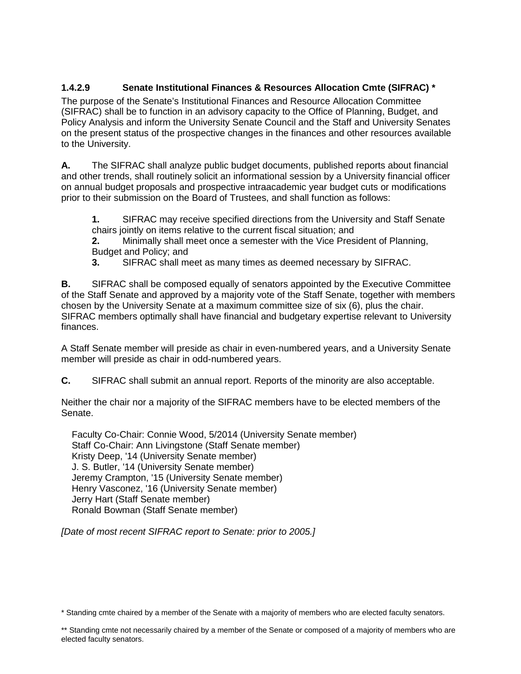# **1.4.2.9 Senate Institutional Finances & Resources Allocation Cmte (SIFRAC) \***

The purpose of the Senate's Institutional Finances and Resource Allocation Committee (SIFRAC) shall be to function in an advisory capacity to the Office of Planning, Budget, and Policy Analysis and inform the University Senate Council and the Staff and University Senates on the present status of the prospective changes in the finances and other resources available to the University.

**A.** The SIFRAC shall analyze public budget documents, published reports about financial and other trends, shall routinely solicit an informational session by a University financial officer on annual budget proposals and prospective intraacademic year budget cuts or modifications prior to their submission on the Board of Trustees, and shall function as follows:

**1.** SIFRAC may receive specified directions from the University and Staff Senate chairs jointly on items relative to the current fiscal situation; and

**2.** Minimally shall meet once a semester with the Vice President of Planning, Budget and Policy; and

**3.** SIFRAC shall meet as many times as deemed necessary by SIFRAC.

**B.** SIFRAC shall be composed equally of senators appointed by the Executive Committee of the Staff Senate and approved by a majority vote of the Staff Senate, together with members chosen by the University Senate at a maximum committee size of six (6), plus the chair. SIFRAC members optimally shall have financial and budgetary expertise relevant to University finances.

A Staff Senate member will preside as chair in even-numbered years, and a University Senate member will preside as chair in odd-numbered years.

**C.** SIFRAC shall submit an annual report. Reports of the minority are also acceptable.

Neither the chair nor a majority of the SIFRAC members have to be elected members of the Senate.

 Faculty Co-Chair: Connie Wood, 5/2014 (University Senate member) Staff Co-Chair: Ann Livingstone (Staff Senate member) Kristy Deep, '14 (University Senate member) J. S. Butler, '14 (University Senate member) Jeremy Crampton, '15 (University Senate member) Henry Vasconez, '16 (University Senate member) Jerry Hart (Staff Senate member) Ronald Bowman (Staff Senate member)

*[Date of most recent SIFRAC report to Senate: prior to 2005.]*

<sup>\*</sup> Standing cmte chaired by a member of the Senate with a majority of members who are elected faculty senators.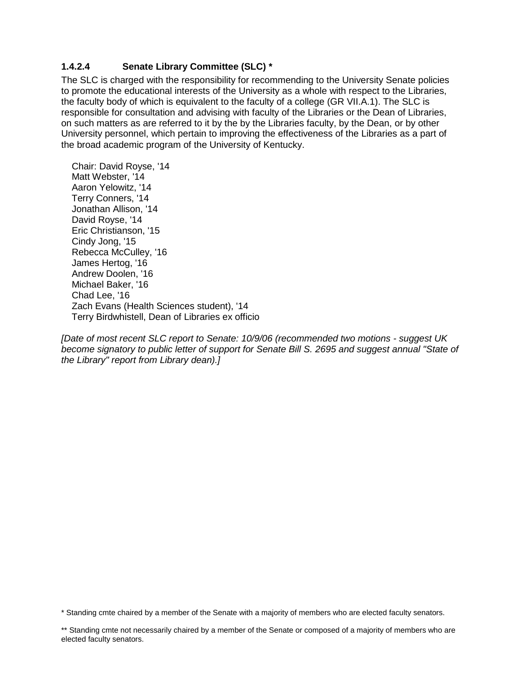## **1.4.2.4 Senate Library Committee (SLC) \***

The SLC is charged with the responsibility for recommending to the University Senate policies to promote the educational interests of the University as a whole with respect to the Libraries, the faculty body of which is equivalent to the faculty of a college (GR VII.A.1). The SLC is responsible for consultation and advising with faculty of the Libraries or the Dean of Libraries, on such matters as are referred to it by the by the Libraries faculty, by the Dean, or by other University personnel, which pertain to improving the effectiveness of the Libraries as a part of the broad academic program of the University of Kentucky.

 Chair: David Royse, '14 Matt Webster, '14 Aaron Yelowitz, '14 Terry Conners, '14 Jonathan Allison, '14 David Royse, '14 Eric Christianson, '15 Cindy Jong, '15 Rebecca McCulley, '16 James Hertog, '16 Andrew Doolen, '16 Michael Baker, '16 Chad Lee, '16 Zach Evans (Health Sciences student), '14 Terry Birdwhistell, Dean of Libraries ex officio

*[Date of most recent SLC report to Senate: 10/9/06 (recommended two motions - suggest UK become signatory to public letter of support for Senate Bill S. 2695 and suggest annual "State of the Library" report from Library dean).]*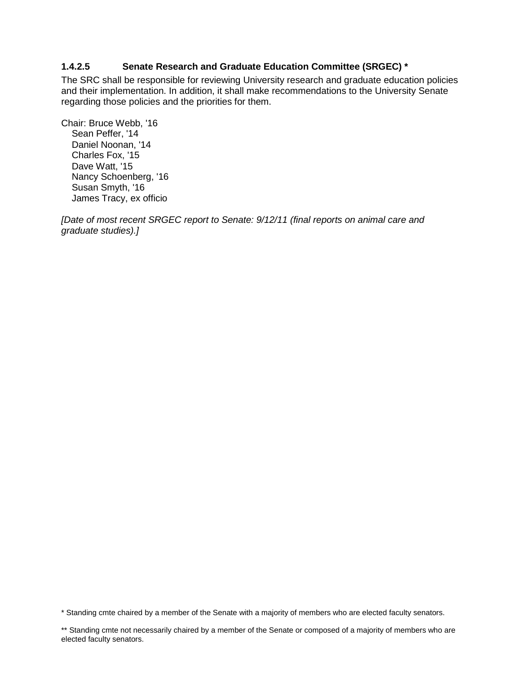### **1.4.2.5 Senate Research and Graduate Education Committee (SRGEC) \***

The SRC shall be responsible for reviewing University research and graduate education policies and their implementation. In addition, it shall make recommendations to the University Senate regarding those policies and the priorities for them.

Chair: Bruce Webb, '16 Sean Peffer, '14 Daniel Noonan, '14 Charles Fox, '15 Dave Watt, '15 Nancy Schoenberg, '16 Susan Smyth, '16 James Tracy, ex officio

*[Date of most recent SRGEC report to Senate: 9/12/11 (final reports on animal care and graduate studies).]*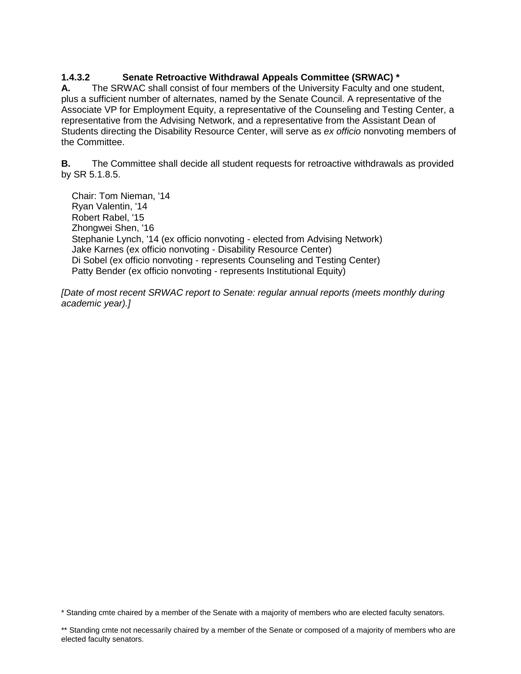# **1.4.3.2 Senate Retroactive Withdrawal Appeals Committee (SRWAC) \***

**A.** The SRWAC shall consist of four members of the University Faculty and one student, plus a sufficient number of alternates, named by the Senate Council. A representative of the Associate VP for Employment Equity, a representative of the Counseling and Testing Center, a representative from the Advising Network, and a representative from the Assistant Dean of Students directing the Disability Resource Center, will serve as *ex officio* nonvoting members of the Committee.

**B.** The Committee shall decide all student requests for retroactive withdrawals as provided by SR 5.1.8.5.

 Chair: Tom Nieman, '14 Ryan Valentin, '14 Robert Rabel, '15 Zhongwei Shen, '16 Stephanie Lynch, '14 (ex officio nonvoting - elected from Advising Network) Jake Karnes (ex officio nonvoting - Disability Resource Center) Di Sobel (ex officio nonvoting - represents Counseling and Testing Center) Patty Bender (ex officio nonvoting - represents Institutional Equity)

*[Date of most recent SRWAC report to Senate: regular annual reports (meets monthly during \] academic year).]*